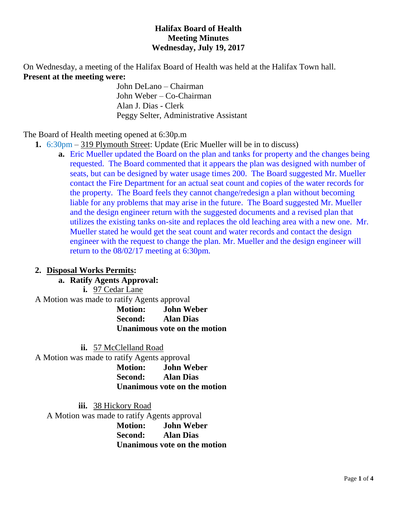## **Halifax Board of Health Meeting Minutes Wednesday, July 19, 2017**

On Wednesday, a meeting of the Halifax Board of Health was held at the Halifax Town hall. **Present at the meeting were:**

John DeLano – Chairman John Weber – Co-Chairman Alan J. Dias - Clerk Peggy Selter, Administrative Assistant

The Board of Health meeting opened at 6:30p.m

- **1.** 6:30pm 319 Plymouth Street: Update (Eric Mueller will be in to discuss)
	- **a.** Eric Mueller updated the Board on the plan and tanks for property and the changes being requested. The Board commented that it appears the plan was designed with number of seats, but can be designed by water usage times 200. The Board suggested Mr. Mueller contact the Fire Department for an actual seat count and copies of the water records for the property. The Board feels they cannot change/redesign a plan without becoming liable for any problems that may arise in the future. The Board suggested Mr. Mueller and the design engineer return with the suggested documents and a revised plan that utilizes the existing tanks on-site and replaces the old leaching area with a new one. Mr. Mueller stated he would get the seat count and water records and contact the design engineer with the request to change the plan. Mr. Mueller and the design engineer will return to the 08/02/17 meeting at 6:30pm.

## **2. Disposal Works Permits:**

## **a. Ratify Agents Approval:**

**i.** 97 Cedar Lane

A Motion was made to ratify Agents approval

**Motion: John Weber Second: Alan Dias Unanimous vote on the motion**

**ii.** 57 McClelland Road A Motion was made to ratify Agents approval **Motion: John Weber Second: Alan Dias Unanimous vote on the motion**

**iii.** 38 Hickory Road A Motion was made to ratify Agents approval **Motion: John Weber Second: Alan Dias Unanimous vote on the motion**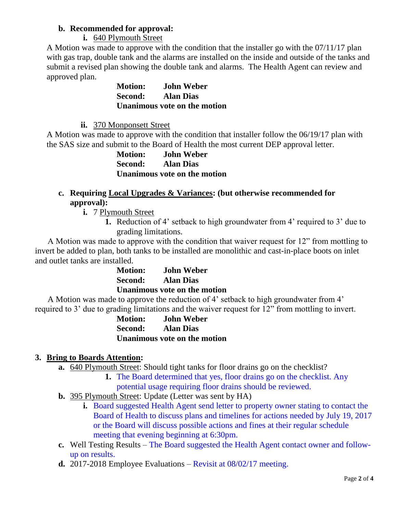## **b. Recommended for approval:**

## **i.** 640 Plymouth Street

A Motion was made to approve with the condition that the installer go with the 07/11/17 plan with gas trap, double tank and the alarms are installed on the inside and outside of the tanks and submit a revised plan showing the double tank and alarms. The Health Agent can review and approved plan.

> **Motion: John Weber Second: Alan Dias Unanimous vote on the motion**

**ii.** 370 Monponsett Street

A Motion was made to approve with the condition that installer follow the 06/19/17 plan with the SAS size and submit to the Board of Health the most current DEP approval letter.

**Motion: John Weber Second: Alan Dias Unanimous vote on the motion**

# **c. Requiring Local Upgrades & Variances: (but otherwise recommended for approval):**

- **i.** 7 Plymouth Street
	- **1.** Reduction of 4' setback to high groundwater from 4' required to 3' due to grading limitations.

 A Motion was made to approve with the condition that waiver request for 12" from mottling to invert be added to plan, both tanks to be installed are monolithic and cast-in-place boots on inlet and outlet tanks are installed.

| <b>Motion:</b>               | <b>John Weber</b> |
|------------------------------|-------------------|
| <b>Second:</b>               | <b>Alan Dias</b>  |
| Unanimous vote on the motion |                   |

 A Motion was made to approve the reduction of 4' setback to high groundwater from 4' required to 3' due to grading limitations and the waiver request for 12" from mottling to invert.

> **Motion: John Weber Second: Alan Dias Unanimous vote on the motion**

# **3. Bring to Boards Attention:**

- **a.** 640 Plymouth Street: Should tight tanks for floor drains go on the checklist?
	- **1.** The Board determined that yes, floor drains go on the checklist. Any potential usage requiring floor drains should be reviewed.
- **b.** 395 Plymouth Street: Update (Letter was sent by HA)
	- **i.** Board suggested Health Agent send letter to property owner stating to contact the Board of Health to discuss plans and timelines for actions needed by July 19, 2017 or the Board will discuss possible actions and fines at their regular schedule meeting that evening beginning at 6:30pm.
- **c.** Well Testing Results The Board suggested the Health Agent contact owner and followup on results.
- **d.** 2017-2018 Employee Evaluations Revisit at 08/02/17 meeting.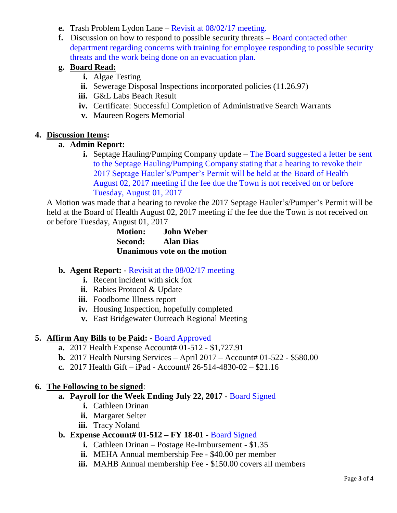- **e.** Trash Problem Lydon Lane Revisit at 08/02/17 meeting.
- **f.** Discussion on how to respond to possible security threats Board contacted other department regarding concerns with training for employee responding to possible security threats and the work being done on an evacuation plan.

# **g. Board Read:**

- **i.** Algae Testing
- **ii.** Sewerage Disposal Inspections incorporated policies (11.26.97)
- **iii.** G&L Labs Beach Result
- **iv.** Certificate: Successful Completion of Administrative Search Warrants
- **v.** Maureen Rogers Memorial

## **4. Discussion Items:**

## **a. Admin Report:**

**i.** Septage Hauling/Pumping Company update – The Board suggested a letter be sent to the Septage Hauling/Pumping Company stating that a hearing to revoke their 2017 Septage Hauler's/Pumper's Permit will be held at the Board of Health August 02, 2017 meeting if the fee due the Town is not received on or before Tuesday, August 01, 2017

A Motion was made that a hearing to revoke the 2017 Septage Hauler's/Pumper's Permit will be held at the Board of Health August 02, 2017 meeting if the fee due the Town is not received on or before Tuesday, August 01, 2017

> **Motion: John Weber Second: Alan Dias Unanimous vote on the motion**

## **b. Agent Report:** - Revisit at the 08/02/17 meeting

- **i.** Recent incident with sick fox
- **ii.** Rabies Protocol & Update
- **iii.** Foodborne Illness report
- **iv.** Housing Inspection, hopefully completed
- **v.** East Bridgewater Outreach Regional Meeting

## **5. Affirm Any Bills to be Paid:** - Board Approved

- **a.** 2017 Health Expense Account# 01-512 \$1,727.91
- **b.** 2017 Health Nursing Services April 2017 Account# 01-522 \$580.00
- **c.** 2017 Health Gift iPad Account# 26-514-4830-02 \$21.16

## **6. The Following to be signed**:

## **a. Payroll for the Week Ending July 22, 2017** - Board Signed

- **i.** Cathleen Drinan
- **ii.** Margaret Selter
- **iii.** Tracy Noland

## **b. Expense Account# 01-512 – FY 18-01** - Board Signed

- **i.** Cathleen Drinan Postage Re-Imbursement \$1.35
- **ii.** MEHA Annual membership Fee \$40.00 per member
- **iii.** MAHB Annual membership Fee \$150.00 covers all members